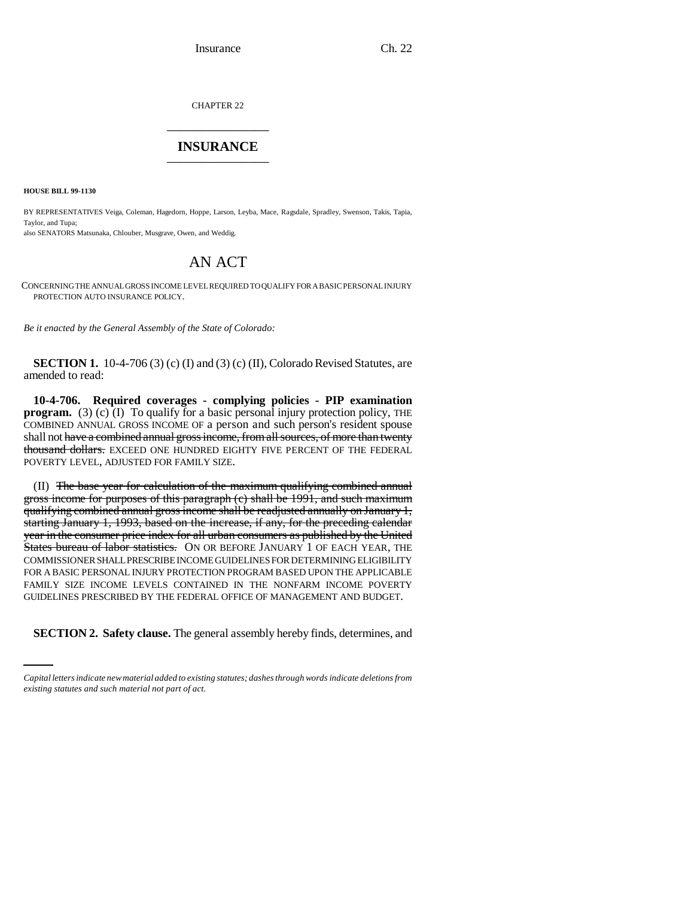CHAPTER 22 \_\_\_\_\_\_\_\_\_\_\_\_\_\_\_

## **INSURANCE** \_\_\_\_\_\_\_\_\_\_\_\_\_\_\_

**HOUSE BILL 99-1130** 

BY REPRESENTATIVES Veiga, Coleman, Hagedorn, Hoppe, Larson, Leyba, Mace, Ragsdale, Spradley, Swenson, Takis, Tapia, Taylor, and Tupa; also SENATORS Matsunaka, Chlouber, Musgrave, Owen, and Weddig.

## AN ACT

CONCERNING THE ANNUAL GROSS INCOME LEVEL REQUIRED TO QUALIFY FOR A BASIC PERSONAL INJURY PROTECTION AUTO INSURANCE POLICY.

*Be it enacted by the General Assembly of the State of Colorado:*

**SECTION 1.** 10-4-706 (3) (c) (I) and (3) (c) (II), Colorado Revised Statutes, are amended to read:

**10-4-706. Required coverages - complying policies - PIP examination program.** (3) (c) (I) To qualify for a basic personal injury protection policy, THE COMBINED ANNUAL GROSS INCOME OF a person and such person's resident spouse shall not have a combined annual gross income, from all sources, of more than twenty thousand dollars. EXCEED ONE HUNDRED EIGHTY FIVE PERCENT OF THE FEDERAL POVERTY LEVEL, ADJUSTED FOR FAMILY SIZE.

(II) The base year for calculation of the maximum qualifying combined annual gross income for purposes of this paragraph (c) shall be 1991, and such maximum qualifying combined annual gross income shall be readjusted annually on January 1, starting January 1, 1993, based on the increase, if any, for the preceding calendar year in the consumer price index for all urban consumers as published by the United States bureau of labor statistics. ON OR BEFORE JANUARY 1 OF EACH YEAR, THE COMMISSIONER SHALL PRESCRIBE INCOME GUIDELINES FOR DETERMINING ELIGIBILITY FOR A BASIC PERSONAL INJURY PROTECTION PROGRAM BASED UPON THE APPLICABLE FAMILY SIZE INCOME LEVELS CONTAINED IN THE NONFARM INCOME POVERTY GUIDELINES PRESCRIBED BY THE FEDERAL OFFICE OF MANAGEMENT AND BUDGET.

**SECTION 2. Safety clause.** The general assembly hereby finds, determines, and

*Capital letters indicate new material added to existing statutes; dashes through words indicate deletions from existing statutes and such material not part of act.*